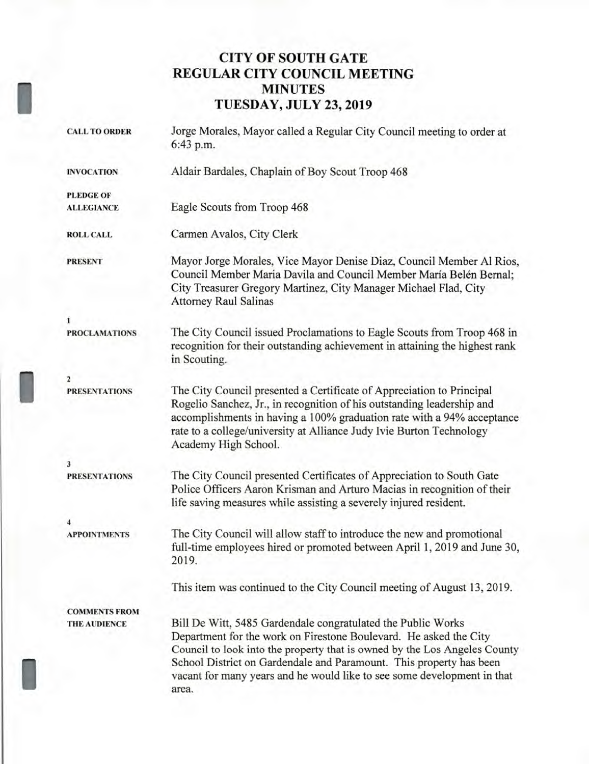## **CITY OF SOUTH GATE REGULAR CITY COUNCIL MEETING MINUTES TUESDAY, JULY 23, 2019**

| <b>CALL TO ORDER</b> | Jorge Morales, Mayor called a Regular City Council meeting to order at<br>6:43 p.m.                                                                                                                                                                                                                                                                                       |
|----------------------|---------------------------------------------------------------------------------------------------------------------------------------------------------------------------------------------------------------------------------------------------------------------------------------------------------------------------------------------------------------------------|
| <b>INVOCATION</b>    | Aldair Bardales, Chaplain of Boy Scout Troop 468                                                                                                                                                                                                                                                                                                                          |
| <b>PLEDGE OF</b>     |                                                                                                                                                                                                                                                                                                                                                                           |
| <b>ALLEGIANCE</b>    | Eagle Scouts from Troop 468                                                                                                                                                                                                                                                                                                                                               |
| <b>ROLL CALL</b>     | Carmen Avalos, City Clerk                                                                                                                                                                                                                                                                                                                                                 |
| <b>PRESENT</b>       | Mayor Jorge Morales, Vice Mayor Denise Diaz, Council Member Al Rios,<br>Council Member Maria Davila and Council Member María Belén Bernal;<br>City Treasurer Gregory Martinez, City Manager Michael Flad, City<br><b>Attorney Raul Salinas</b>                                                                                                                            |
| 1                    |                                                                                                                                                                                                                                                                                                                                                                           |
| <b>PROCLAMATIONS</b> | The City Council issued Proclamations to Eagle Scouts from Troop 468 in<br>recognition for their outstanding achievement in attaining the highest rank<br>in Scouting.                                                                                                                                                                                                    |
| $\overline{2}$       |                                                                                                                                                                                                                                                                                                                                                                           |
| <b>PRESENTATIONS</b> | The City Council presented a Certificate of Appreciation to Principal<br>Rogelio Sanchez, Jr., in recognition of his outstanding leadership and<br>accomplishments in having a 100% graduation rate with a 94% acceptance<br>rate to a college/university at Alliance Judy Ivie Burton Technology<br>Academy High School.                                                 |
| 3                    |                                                                                                                                                                                                                                                                                                                                                                           |
| <b>PRESENTATIONS</b> | The City Council presented Certificates of Appreciation to South Gate<br>Police Officers Aaron Krisman and Arturo Macias in recognition of their<br>life saving measures while assisting a severely injured resident.                                                                                                                                                     |
|                      |                                                                                                                                                                                                                                                                                                                                                                           |
| <b>APPOINTMENTS</b>  | The City Council will allow staff to introduce the new and promotional<br>full-time employees hired or promoted between April 1, 2019 and June 30,<br>2019.                                                                                                                                                                                                               |
|                      | This item was continued to the City Council meeting of August 13, 2019.                                                                                                                                                                                                                                                                                                   |
| <b>COMMENTS FROM</b> |                                                                                                                                                                                                                                                                                                                                                                           |
| <b>THE AUDIENCE</b>  | Bill De Witt, 5485 Gardendale congratulated the Public Works<br>Department for the work on Firestone Boulevard. He asked the City<br>Council to look into the property that is owned by the Los Angeles County<br>School District on Gardendale and Paramount. This property has been<br>vacant for many years and he would like to see some development in that<br>area. |

I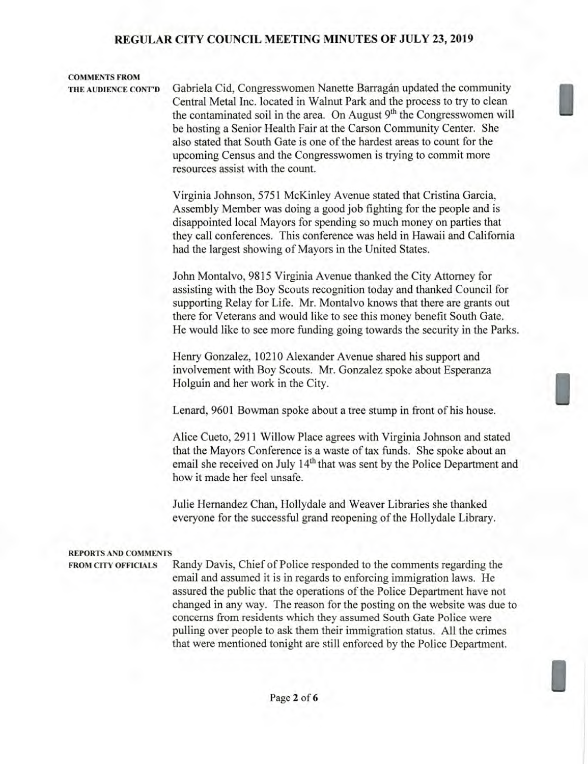# **COMMENTS FROM**

**THE AUDIENCE CONT'D** Gabriela Cid, Congresswomen Nanette Barragan updated the community Central Metal Inc. located in Walnut Park and the process to try to clean the contaminated soil in the area. On August 9<sup>th</sup> the Congresswomen will be hosting a Senior Health Fair at the Carson Community Center. She also stated that South Gate is one of the hardest areas to count for the upcoming Census and the Congresswomen is trying to commit more resources assist with the count.

> Virginia Johnson, 5751 McKinley Avenue stated that Cristina Garcia, Assembly Member was doing a good job fighting for the people and is disappointed local Mayors for spending so much money on parties that they call conferences. This conference was held in Hawaii and California had the largest showing of Mayors in the United States.

> John Montalvo, 9815 Virginia Avenue thanked the City Attorney for assisting with the Boy Scouts recognition today and thanked Council for supporting Relay for Life. Mr. Montalvo knows that there are grants out there for Veterans and would like to see this money benefit South Gate. He would like to see more funding going towards the security in the Parks.

Henry Gonzalez, 10210 Alexander Avenue shared his support and involvement with Boy Scouts. Mr. Gonzalez spoke about Esperanza Holguin and her work in the City.

Lenard, 9601 Bowman spoke about a tree stump in front of his house.

Alice Cueto, 2911 Willow Place agrees with Virginia Johnson and stated that the Mayors Conference is a waste of tax funds. She spoke about an email she received on July 14<sup>th</sup> that was sent by the Police Department and how it made her feel unsafe.

Julie Hernandez Chan, Hollydale and Weaver Libraries she thanked everyone for the successful grand reopening of the Hollydale Library.

#### **REPORTS AND COMMENTS**

**FROM CITY OFFICIALS** Randy Davis, Chief of Police responded to the comments regarding the email and assumed it is in regards to enforcing immigration laws. He assured the public that the operations of the Police Department have not changed in any way. The reason for the posting on the website was due to concerns from residents which they assumed South Gate Police were pulling over people to ask them their immigration status. All the crimes that were mentioned tonight are still enforced by the Police Department.

I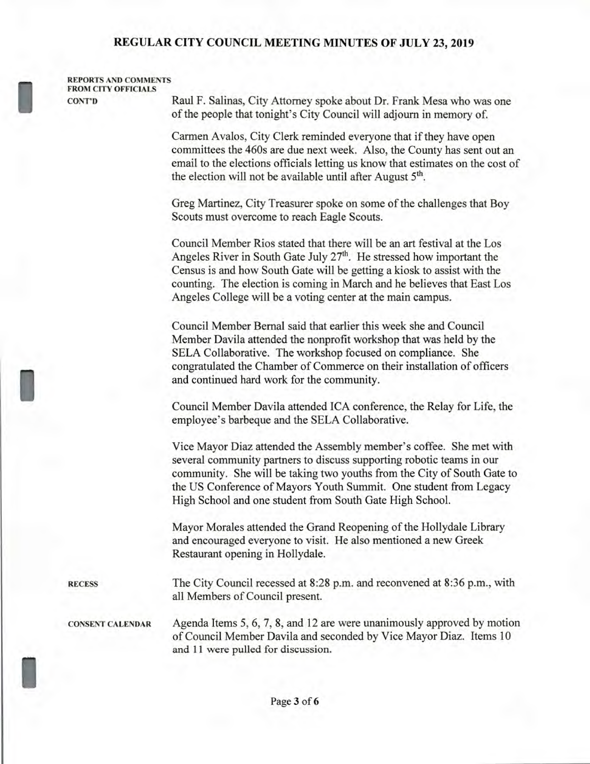**REPORTS AND COMMENTS FROM CITY OFFICIALS** 

**CONT'D** Raul F. Salinas, City Attorney spoke about Dr. Frank Mesa who was one of the people that tonight's City Council will adjourn in memory of.

> Carmen Avalos, City Clerk reminded everyone that if they have open committees the 460s are due next week. Also, the County has sent out an email to the elections officials letting us know that estimates on the cost of the election will not be available until after August  $5<sup>th</sup>$ .

Greg Martinez, City Treasurer spoke on some of the challenges that Boy Scouts must overcome to reach Eagle Scouts.

Council Member Rios stated that there will be an art festival at the Los Angeles River in South Gate July  $27<sup>th</sup>$ . He stressed how important the Census is and how South Gate will be getting a kiosk to assist with the counting. The election is coming in March and he believes that East Los Angeles College will be a voting center at the main campus.

Council Member Bernal said that earlier this week she and Council Member Davila attended the nonprofit workshop that was held by the SELA Collaborative. The workshop focused on compliance. She congratulated the Chamber of Commerce on their installation of officers and continued hard work for the community.

Council Member Davila attended ICA conference, the Relay for Life, the employee's barbeque and the SELA Collaborative.

Vice Mayor Diaz attended the Assembly member's coffee. She met with several community partners to discuss supporting robotic teams in our community. She will be taking two youths from the City of South Gate to the US Conference of Mayors Youth Summit. One student from Legacy High School and one student from South Gate High School.

Mayor Morales attended the Grand Reopening of the Hollydale Library and encouraged everyone to visit. He also mentioned a new Greek Restaurant opening in Hollydale.

**RECESS** The City Council recessed at 8:28 p.m. and reconvened at 8:36 p.m., with all Members of Council present.

I

**CONSENT CALENDAR** Agenda Items 5, 6, 7, 8, and 12 are were unanimously approved by motion of Council Member Davila and seconded by Vice Mayor Diaz. Items 10 and 11 were pulled for discussion.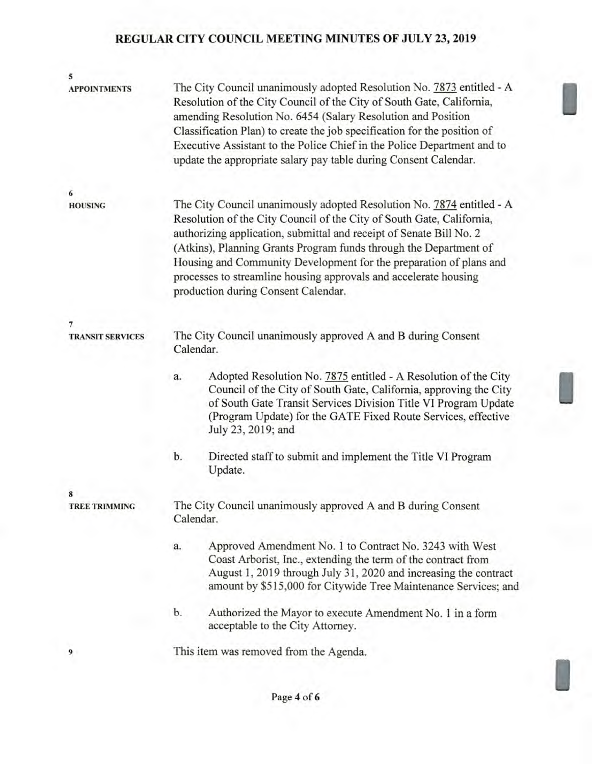| 5<br><b>APPOINTMENTS</b> | The City Council unanimously adopted Resolution No. 7873 entitled - A<br>Resolution of the City Council of the City of South Gate, California,<br>amending Resolution No. 6454 (Salary Resolution and Position<br>Classification Plan) to create the job specification for the position of<br>Executive Assistant to the Police Chief in the Police Department and to<br>update the appropriate salary pay table during Consent Calendar.                                   |
|--------------------------|-----------------------------------------------------------------------------------------------------------------------------------------------------------------------------------------------------------------------------------------------------------------------------------------------------------------------------------------------------------------------------------------------------------------------------------------------------------------------------|
| 6                        |                                                                                                                                                                                                                                                                                                                                                                                                                                                                             |
| <b>HOUSING</b>           | The City Council unanimously adopted Resolution No. 7874 entitled - A<br>Resolution of the City Council of the City of South Gate, California,<br>authorizing application, submittal and receipt of Senate Bill No. 2<br>(Atkins), Planning Grants Program funds through the Department of<br>Housing and Community Development for the preparation of plans and<br>processes to streamline housing approvals and accelerate housing<br>production during Consent Calendar. |
| 7                        |                                                                                                                                                                                                                                                                                                                                                                                                                                                                             |
| <b>TRANSIT SERVICES</b>  | The City Council unanimously approved A and B during Consent<br>Calendar.                                                                                                                                                                                                                                                                                                                                                                                                   |
|                          | Adopted Resolution No. 7875 entitled - A Resolution of the City<br>a.<br>Council of the City of South Gate, California, approving the City<br>of South Gate Transit Services Division Title VI Program Update<br>(Program Update) for the GATE Fixed Route Services, effective<br>July 23, 2019; and                                                                                                                                                                        |
|                          | b.<br>Directed staff to submit and implement the Title VI Program<br>Update.                                                                                                                                                                                                                                                                                                                                                                                                |
| 8                        |                                                                                                                                                                                                                                                                                                                                                                                                                                                                             |
| <b>TREE TRIMMING</b>     | The City Council unanimously approved A and B during Consent<br>Calendar.                                                                                                                                                                                                                                                                                                                                                                                                   |
|                          | Approved Amendment No. 1 to Contract No. 3243 with West<br>a.<br>Coast Arborist, Inc., extending the term of the contract from<br>August 1, 2019 through July 31, 2020 and increasing the contract<br>amount by \$515,000 for Citywide Tree Maintenance Services; and                                                                                                                                                                                                       |
|                          | b.<br>Authorized the Mayor to execute Amendment No. 1 in a form<br>acceptable to the City Attorney.                                                                                                                                                                                                                                                                                                                                                                         |
| 9                        | This item was removed from the Agenda.                                                                                                                                                                                                                                                                                                                                                                                                                                      |
|                          |                                                                                                                                                                                                                                                                                                                                                                                                                                                                             |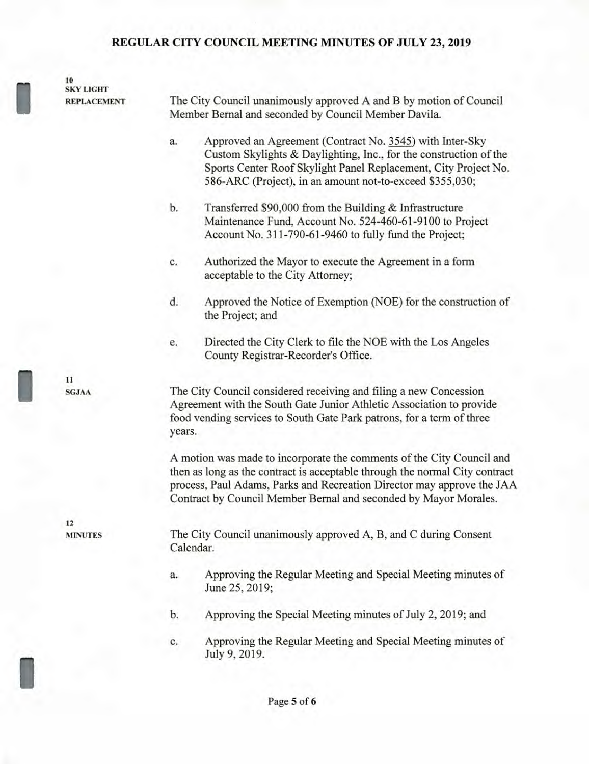**10 SKY LIGHT** 

**REPLACEMENT** The City Council unanimously approved A and B by motion of Council Member Bernal and seconded by Council Member Davila.

- a. Approved an Agreement (Contract No. 3545) with Inter-Sky Custom Skylights & Daylighting, Inc., for the construction of the Sports Center Roof Skylight Panel Replacement, City Project No. 586-ARC (Project), in an amount not-to-exceed \$355,030;
- b. Transferred \$90,000 from the Building & Infrastructure Maintenance Fund, Account No. 524-460-61-9100 to Project Account No. 311-790-61-9460 to fully fund the Project;
- c. Authorized the Mayor to execute the Agreement in a form acceptable to the City Attorney;
- d. Approved the Notice of Exemption (NOE) for the construction of the Project; and
- e. Directed the City Clerk to file the NOE with the Los Angeles County Registrar-Recorder's Office.

**SGJAA** The City Council considered receiving and filing a new Concession Agreement with the South Gate Junior Athletic Association to provide food vending services to South Gate Park patrons, for a term of three years.

> A motion was made to incorporate the comments of the City Council and then as long as the contract is acceptable through the normal City contract process, Paul Adams, Parks and Recreation Director may approve the JAA Contract by Council Member Bernal and seconded by Mayor Morales.

**MINUTES** The City Council unanimously approved A, B, and C during Consent Calendar.

- a. Approving the Regular Meeting and Special Meeting minutes of June 25, 2019;
- b. Approving the Special Meeting minutes of July 2, 2019; and
- c. Approving the Regular Meeting and Special Meeting minutes of July 9, 2019.

**11** 

**12**